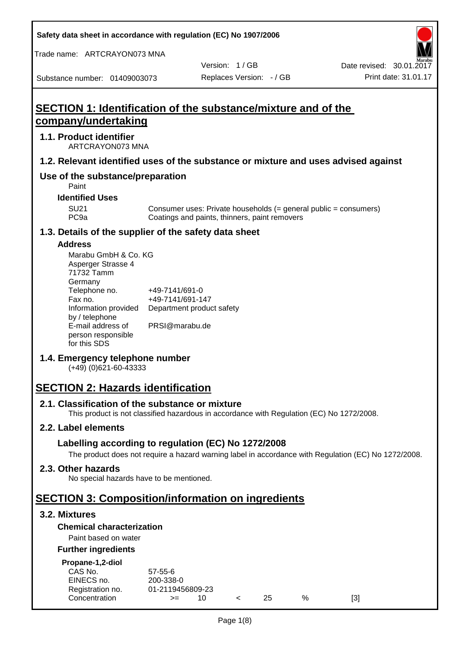**Safety data sheet in accordance with regulation (EC) No 1907/2006**

Trade name: ARTCRAYON073 MNA

Substance number: 01409003073

Version: 1 / GB

# **SECTION 1: Identification of the substance/mixture and of the company/undertaking**

# **1.1. Product identifier**

ARTCRAYON073 MNA

# **1.2. Relevant identified uses of the substance or mixture and uses advised against**

# **Use of the substance/preparation**

Paint

**Identified Uses**

SU21 Consumer uses: Private households (= general public = consumers)<br>PC9a Coatings and paints, thinners, paint removers Coatings and paints, thinners, paint removers

#### **1.3. Details of the supplier of the safety data sheet**

#### **Address**

| Marabu GmbH & Co. KG |                           |
|----------------------|---------------------------|
| Asperger Strasse 4   |                           |
| 71732 Tamm           |                           |
| Germany              |                           |
| Telephone no.        | +49-7141/691-0            |
| Fax no.              | +49-7141/691-147          |
| Information provided | Department product safety |
| by / telephone       |                           |
| E-mail address of    | PRSI@marabu.de            |
| person responsible   |                           |
| for this SDS         |                           |

# **1.4. Emergency telephone number**

(+49) (0)621-60-43333

# **SECTION 2: Hazards identification**

#### **2.1. Classification of the substance or mixture**

This product is not classified hazardous in accordance with Regulation (EC) No 1272/2008.

# **2.2. Label elements**

# **Labelling according to regulation (EC) No 1272/2008**

The product does not require a hazard warning label in accordance with Regulation (EC) No 1272/2008.

#### **2.3. Other hazards**

No special hazards have to be mentioned.

# **SECTION 3: Composition/information on ingredients**

# **3.2. Mixtures**

#### **Chemical characterization**

# Paint based on water

#### **Further ingredients**

| Propane-1,2-diol |  |
|------------------|--|
|                  |  |

| CAS No.          | $57 - 55 - 6$    |     |     |   |     |
|------------------|------------------|-----|-----|---|-----|
| EINECS no.       | 200-338-0        |     |     |   |     |
| Registration no. | 01-2119456809-23 |     |     |   |     |
| Concentration    | $>=$             | 10. | 25. | % | [3] |
|                  |                  |     |     |   |     |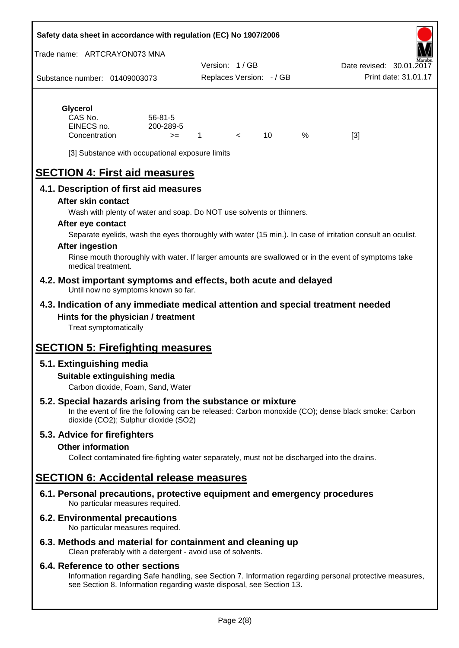#### **Safety data sheet in accordance with regulation (EC) No 1907/2006**

Trade name: ARTCRAYON073 MNA

Substance number: 01409003073 Version: 1 / GB Replaces Version: - / GB Print date: 31.01.17 Date revised: 30.01.2

# **Glycerol**

| CAS No.       | $56 - 81 - 5$ |  |   |     |
|---------------|---------------|--|---|-----|
| EINECS no.    | 200-289-5     |  |   |     |
| Concentration | $>=$          |  | % | [3] |

[3] Substance with occupational exposure limits

# **SECTION 4: First aid measures**

# **4.1. Description of first aid measures**

#### **After skin contact**

Wash with plenty of water and soap. Do NOT use solvents or thinners.

#### **After eye contact**

Separate eyelids, wash the eyes thoroughly with water (15 min.). In case of irritation consult an oculist.

#### **After ingestion**

Rinse mouth thoroughly with water. If larger amounts are swallowed or in the event of symptoms take medical treatment.

#### **4.2. Most important symptoms and effects, both acute and delayed** Until now no symptoms known so far.

# **4.3. Indication of any immediate medical attention and special treatment needed Hints for the physician / treatment**

Treat symptomatically

# **SECTION 5: Firefighting measures**

# **5.1. Extinguishing media**

# **Suitable extinguishing media**

Carbon dioxide, Foam, Sand, Water

# **5.2. Special hazards arising from the substance or mixture**

In the event of fire the following can be released: Carbon monoxide (CO); dense black smoke; Carbon dioxide (CO2); Sulphur dioxide (SO2)

# **5.3. Advice for firefighters**

#### **Other information**

Collect contaminated fire-fighting water separately, must not be discharged into the drains.

# **SECTION 6: Accidental release measures**

**6.1. Personal precautions, protective equipment and emergency procedures** No particular measures required.

# **6.2. Environmental precautions**

No particular measures required.

# **6.3. Methods and material for containment and cleaning up**

Clean preferably with a detergent - avoid use of solvents.

#### **6.4. Reference to other sections**

Information regarding Safe handling, see Section 7. Information regarding personal protective measures, see Section 8. Information regarding waste disposal, see Section 13.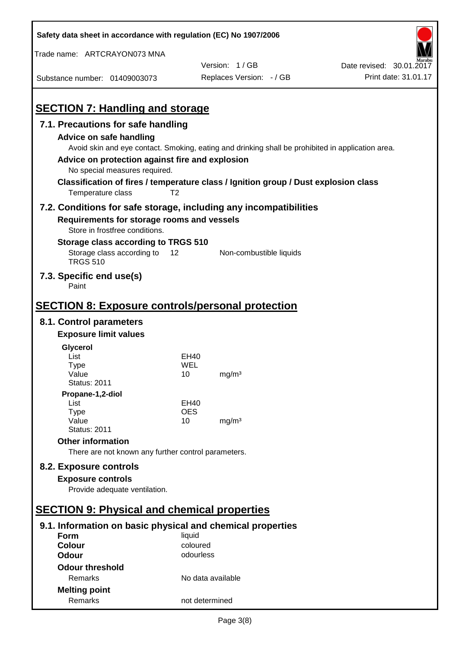| Safety data sheet in accordance with regulation (EC) No 1907/2006                   |                   |                                                                                                   |                          |
|-------------------------------------------------------------------------------------|-------------------|---------------------------------------------------------------------------------------------------|--------------------------|
| Trade name: ARTCRAYON073 MNA                                                        |                   |                                                                                                   |                          |
|                                                                                     |                   | Version: 1/GB                                                                                     | Date revised: 30.01.2017 |
| Substance number: 01409003073                                                       |                   | Replaces Version: - / GB                                                                          | Print date: 31.01.17     |
| <b>SECTION 7: Handling and storage</b>                                              |                   |                                                                                                   |                          |
|                                                                                     |                   |                                                                                                   |                          |
| 7.1. Precautions for safe handling<br><b>Advice on safe handling</b>                |                   |                                                                                                   |                          |
|                                                                                     |                   | Avoid skin and eye contact. Smoking, eating and drinking shall be prohibited in application area. |                          |
| Advice on protection against fire and explosion                                     |                   |                                                                                                   |                          |
| No special measures required.                                                       |                   |                                                                                                   |                          |
| Classification of fires / temperature class / Ignition group / Dust explosion class |                   |                                                                                                   |                          |
| Temperature class                                                                   | T <sub>2</sub>    |                                                                                                   |                          |
| 7.2. Conditions for safe storage, including any incompatibilities                   |                   |                                                                                                   |                          |
| Requirements for storage rooms and vessels                                          |                   |                                                                                                   |                          |
| Store in frostfree conditions.                                                      |                   |                                                                                                   |                          |
| Storage class according to TRGS 510                                                 |                   |                                                                                                   |                          |
| Storage class according to<br><b>TRGS 510</b>                                       | 12                | Non-combustible liquids                                                                           |                          |
| 7.3. Specific end use(s)<br>Paint                                                   |                   |                                                                                                   |                          |
|                                                                                     |                   |                                                                                                   |                          |
| <b>SECTION 8: Exposure controls/personal protection</b>                             |                   |                                                                                                   |                          |
| 8.1. Control parameters                                                             |                   |                                                                                                   |                          |
| <b>Exposure limit values</b>                                                        |                   |                                                                                                   |                          |
| Glycerol                                                                            |                   |                                                                                                   |                          |
| List                                                                                | EH40              |                                                                                                   |                          |
| <b>Type</b><br>Value                                                                | WEL<br>10         | mg/m <sup>3</sup>                                                                                 |                          |
| <b>Status: 2011</b>                                                                 |                   |                                                                                                   |                          |
| Propane-1,2-diol                                                                    |                   |                                                                                                   |                          |
| List                                                                                | EH40              |                                                                                                   |                          |
| <b>Type</b><br>Value                                                                | <b>OES</b><br>10  | mg/m <sup>3</sup>                                                                                 |                          |
| <b>Status: 2011</b>                                                                 |                   |                                                                                                   |                          |
| <b>Other information</b>                                                            |                   |                                                                                                   |                          |
| There are not known any further control parameters.                                 |                   |                                                                                                   |                          |
| 8.2. Exposure controls                                                              |                   |                                                                                                   |                          |
| <b>Exposure controls</b>                                                            |                   |                                                                                                   |                          |
| Provide adequate ventilation.                                                       |                   |                                                                                                   |                          |
|                                                                                     |                   |                                                                                                   |                          |
| <b>SECTION 9: Physical and chemical properties</b>                                  |                   |                                                                                                   |                          |
| 9.1. Information on basic physical and chemical properties                          |                   |                                                                                                   |                          |
| <b>Form</b>                                                                         | liquid            |                                                                                                   |                          |
| <b>Colour</b>                                                                       | coloured          |                                                                                                   |                          |
| <b>Odour</b>                                                                        | odourless         |                                                                                                   |                          |
| <b>Odour threshold</b>                                                              |                   |                                                                                                   |                          |
| Remarks                                                                             | No data available |                                                                                                   |                          |
| <b>Melting point</b><br>Remarks                                                     | not determined    |                                                                                                   |                          |
|                                                                                     |                   |                                                                                                   |                          |

 $\mathbf{r}$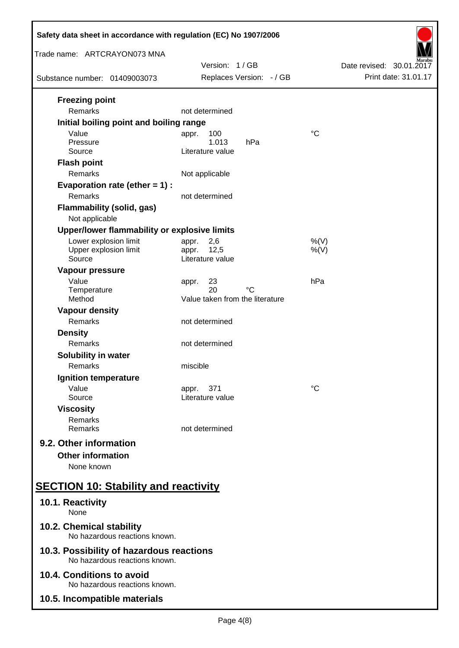| Safety data sheet in accordance with regulation (EC) No 1907/2006         |                                                   |                          |  |  |
|---------------------------------------------------------------------------|---------------------------------------------------|--------------------------|--|--|
| Trade name: ARTCRAYON073 MNA                                              | Version: 1/GB                                     | Date revised: 30.01.2017 |  |  |
| Substance number: 01409003073                                             | Replaces Version: - / GB                          | Print date: 31.01.17     |  |  |
| <b>Freezing point</b><br>Remarks                                          | not determined                                    |                          |  |  |
| Initial boiling point and boiling range                                   |                                                   |                          |  |  |
| Value<br>Pressure<br>Source                                               | 100<br>appr.<br>1.013<br>hPa<br>Literature value  | $\rm ^{\circ}C$          |  |  |
| <b>Flash point</b><br>Remarks                                             | Not applicable                                    |                          |  |  |
| Evaporation rate (ether $= 1$ ) :<br>Remarks                              | not determined                                    |                          |  |  |
| <b>Flammability (solid, gas)</b><br>Not applicable                        |                                                   |                          |  |  |
| Upper/lower flammability or explosive limits                              |                                                   |                          |  |  |
| Lower explosion limit<br>Upper explosion limit<br>Source                  | 2,6<br>appr.<br>12,5<br>appr.<br>Literature value | $%$ (V)<br>$%$ (V)       |  |  |
| Vapour pressure<br>Value<br>Temperature                                   | 23<br>appr.<br>20<br>°C                           | hPa                      |  |  |
| Method                                                                    | Value taken from the literature                   |                          |  |  |
| <b>Vapour density</b><br>Remarks                                          | not determined                                    |                          |  |  |
| <b>Density</b><br>Remarks                                                 | not determined                                    |                          |  |  |
| Solubility in water<br>Remarks                                            | miscible                                          |                          |  |  |
| Ignition temperature                                                      |                                                   |                          |  |  |
| Value<br>Source                                                           | 371<br>appr.<br>Literature value                  | °C                       |  |  |
| <b>Viscosity</b><br>Remarks<br>Remarks                                    | not determined                                    |                          |  |  |
| 9.2. Other information<br><b>Other information</b>                        |                                                   |                          |  |  |
| None known                                                                |                                                   |                          |  |  |
| <b>SECTION 10: Stability and reactivity</b>                               |                                                   |                          |  |  |
| 10.1. Reactivity<br>None                                                  |                                                   |                          |  |  |
| 10.2. Chemical stability<br>No hazardous reactions known.                 |                                                   |                          |  |  |
| 10.3. Possibility of hazardous reactions<br>No hazardous reactions known. |                                                   |                          |  |  |
| 10.4. Conditions to avoid<br>No hazardous reactions known.                |                                                   |                          |  |  |
| 10.5. Incompatible materials                                              |                                                   |                          |  |  |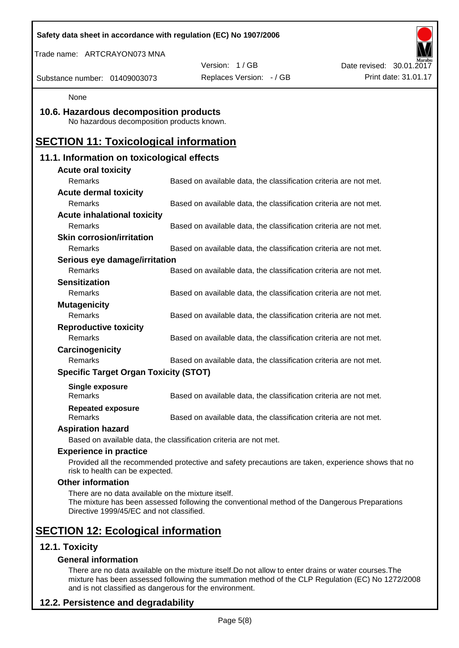| Safety data sheet in accordance with regulation (EC) No 1907/2006                              |                                                                                                    |                          |
|------------------------------------------------------------------------------------------------|----------------------------------------------------------------------------------------------------|--------------------------|
| Trade name: ARTCRAYON073 MNA                                                                   |                                                                                                    |                          |
|                                                                                                | Version: 1/GB                                                                                      | Date revised: 30.01.2017 |
| Substance number: 01409003073                                                                  | Replaces Version: - / GB                                                                           | Print date: 31.01.17     |
| None                                                                                           |                                                                                                    |                          |
| 10.6. Hazardous decomposition products<br>No hazardous decomposition products known.           |                                                                                                    |                          |
| <b>SECTION 11: Toxicological information</b>                                                   |                                                                                                    |                          |
| 11.1. Information on toxicological effects                                                     |                                                                                                    |                          |
| <b>Acute oral toxicity</b>                                                                     |                                                                                                    |                          |
| Remarks                                                                                        | Based on available data, the classification criteria are not met.                                  |                          |
| <b>Acute dermal toxicity</b>                                                                   |                                                                                                    |                          |
| Remarks                                                                                        | Based on available data, the classification criteria are not met.                                  |                          |
| <b>Acute inhalational toxicity</b>                                                             |                                                                                                    |                          |
| Remarks                                                                                        | Based on available data, the classification criteria are not met.                                  |                          |
| <b>Skin corrosion/irritation</b>                                                               |                                                                                                    |                          |
| Remarks                                                                                        | Based on available data, the classification criteria are not met.                                  |                          |
| Serious eye damage/irritation                                                                  |                                                                                                    |                          |
| Remarks                                                                                        | Based on available data, the classification criteria are not met.                                  |                          |
| <b>Sensitization</b>                                                                           |                                                                                                    |                          |
| Remarks                                                                                        | Based on available data, the classification criteria are not met.                                  |                          |
| <b>Mutagenicity</b><br>Remarks                                                                 |                                                                                                    |                          |
|                                                                                                | Based on available data, the classification criteria are not met.                                  |                          |
| <b>Reproductive toxicity</b><br>Remarks                                                        | Based on available data, the classification criteria are not met.                                  |                          |
|                                                                                                |                                                                                                    |                          |
| Carcinogenicity<br>Remarks                                                                     | Based on available data, the classification criteria are not met.                                  |                          |
| <b>Specific Target Organ Toxicity (STOT)</b>                                                   |                                                                                                    |                          |
|                                                                                                |                                                                                                    |                          |
| <b>Single exposure</b><br>Remarks                                                              | Based on available data, the classification criteria are not met.                                  |                          |
| <b>Repeated exposure</b><br>Remarks                                                            | Based on available data, the classification criteria are not met.                                  |                          |
| <b>Aspiration hazard</b>                                                                       |                                                                                                    |                          |
|                                                                                                | Based on available data, the classification criteria are not met.                                  |                          |
| <b>Experience in practice</b>                                                                  |                                                                                                    |                          |
| risk to health can be expected.                                                                | Provided all the recommended protective and safety precautions are taken, experience shows that no |                          |
| <b>Other information</b>                                                                       |                                                                                                    |                          |
| There are no data available on the mixture itself.<br>Directive 1999/45/EC and not classified. | The mixture has been assessed following the conventional method of the Dangerous Preparations      |                          |
| <b>SECTION 12: Ecological information</b>                                                      |                                                                                                    |                          |
| 12.1. Toxicity                                                                                 |                                                                                                    |                          |
| <b>General information</b>                                                                     |                                                                                                    |                          |

There are no data available on the mixture itself.Do not allow to enter drains or water courses.The mixture has been assessed following the summation method of the CLP Regulation (EC) No 1272/2008 and is not classified as dangerous for the environment.

# **12.2. Persistence and degradability**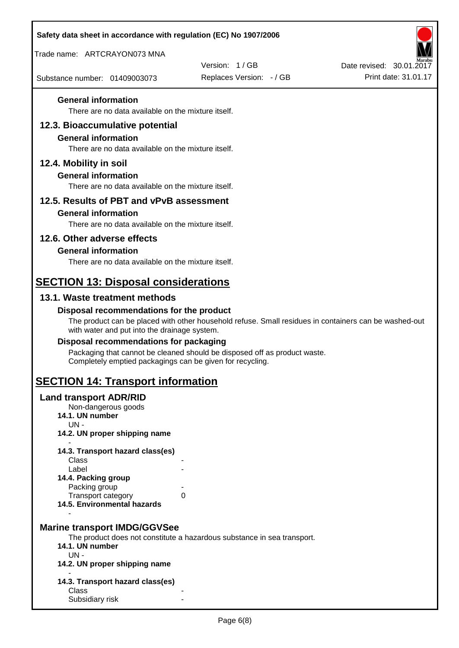| Safety data sheet in accordance with regulation (EC) No 1907/2006                |                                                                                                       |                          |
|----------------------------------------------------------------------------------|-------------------------------------------------------------------------------------------------------|--------------------------|
| Trade name: ARTCRAYON073 MNA                                                     |                                                                                                       |                          |
|                                                                                  | Version: 1/GB                                                                                         | Date revised: 30.01.2017 |
| Substance number: 01409003073                                                    | Replaces Version: - / GB                                                                              | Print date: 31.01.17     |
| <b>General information</b>                                                       |                                                                                                       |                          |
| There are no data available on the mixture itself.                               |                                                                                                       |                          |
| 12.3. Bioaccumulative potential                                                  |                                                                                                       |                          |
| <b>General information</b><br>There are no data available on the mixture itself. |                                                                                                       |                          |
|                                                                                  |                                                                                                       |                          |
| 12.4. Mobility in soil<br><b>General information</b>                             |                                                                                                       |                          |
| There are no data available on the mixture itself.                               |                                                                                                       |                          |
| 12.5. Results of PBT and vPvB assessment                                         |                                                                                                       |                          |
| <b>General information</b>                                                       |                                                                                                       |                          |
| There are no data available on the mixture itself.                               |                                                                                                       |                          |
| 12.6. Other adverse effects                                                      |                                                                                                       |                          |
| <b>General information</b>                                                       |                                                                                                       |                          |
| There are no data available on the mixture itself.                               |                                                                                                       |                          |
| <b>SECTION 13: Disposal considerations</b>                                       |                                                                                                       |                          |
| 13.1. Waste treatment methods                                                    |                                                                                                       |                          |
| Disposal recommendations for the product                                         |                                                                                                       |                          |
| with water and put into the drainage system.                                     | The product can be placed with other household refuse. Small residues in containers can be washed-out |                          |
| Disposal recommendations for packaging                                           |                                                                                                       |                          |
| Completely emptied packagings can be given for recycling.                        | Packaging that cannot be cleaned should be disposed off as product waste.                             |                          |
| <b>SECTION 14: Transport information</b>                                         |                                                                                                       |                          |
| <b>Land transport ADR/RID</b>                                                    |                                                                                                       |                          |
| Non-dangerous goods<br>14.1. UN number                                           |                                                                                                       |                          |
| UN-<br>14.2. UN proper shipping name                                             |                                                                                                       |                          |
|                                                                                  |                                                                                                       |                          |
| 14.3. Transport hazard class(es)<br>Class                                        |                                                                                                       |                          |
| Label                                                                            |                                                                                                       |                          |
| 14.4. Packing group<br>Packing group                                             |                                                                                                       |                          |
| Transport category<br>0                                                          |                                                                                                       |                          |
| 14.5. Environmental hazards                                                      |                                                                                                       |                          |
| <b>Marine transport IMDG/GGVSee</b>                                              |                                                                                                       |                          |
|                                                                                  | The product does not constitute a hazardous substance in sea transport.                               |                          |
| 14.1. UN number<br>$UN -$                                                        |                                                                                                       |                          |
| 14.2. UN proper shipping name                                                    |                                                                                                       |                          |
| 14.3. Transport hazard class(es)                                                 |                                                                                                       |                          |
| Class                                                                            |                                                                                                       |                          |
| Subsidiary risk                                                                  |                                                                                                       |                          |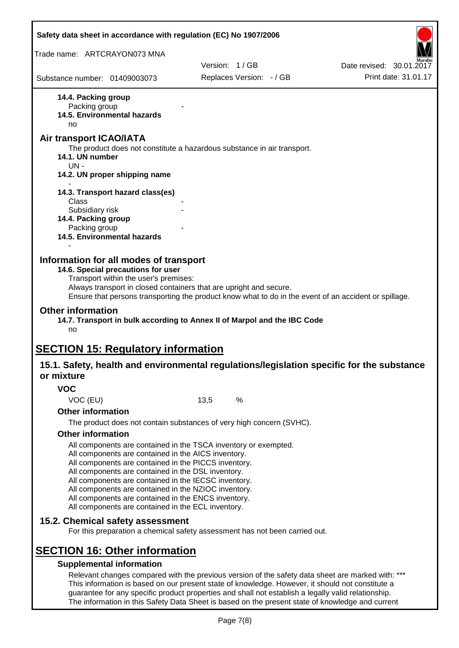|                                            | Safety data sheet in accordance with regulation (EC) No 1907/2006                                                                                                                                                                                                                                                                                                                                                                                                 |      |                                                                                                                                                                                                         |                                                                                                       |
|--------------------------------------------|-------------------------------------------------------------------------------------------------------------------------------------------------------------------------------------------------------------------------------------------------------------------------------------------------------------------------------------------------------------------------------------------------------------------------------------------------------------------|------|---------------------------------------------------------------------------------------------------------------------------------------------------------------------------------------------------------|-------------------------------------------------------------------------------------------------------|
| Trade name: ARTCRAYON073 MNA               |                                                                                                                                                                                                                                                                                                                                                                                                                                                                   |      | Version: 1/GB                                                                                                                                                                                           |                                                                                                       |
|                                            |                                                                                                                                                                                                                                                                                                                                                                                                                                                                   |      |                                                                                                                                                                                                         | Date revised: 30.01.2017                                                                              |
| Substance number: 01409003073              |                                                                                                                                                                                                                                                                                                                                                                                                                                                                   |      | Replaces Version: - / GB                                                                                                                                                                                | Print date: 31.01.17                                                                                  |
| 14.4. Packing group<br>Packing group<br>no | 14.5. Environmental hazards                                                                                                                                                                                                                                                                                                                                                                                                                                       |      |                                                                                                                                                                                                         |                                                                                                       |
| Air transport ICAO/IATA                    |                                                                                                                                                                                                                                                                                                                                                                                                                                                                   |      |                                                                                                                                                                                                         |                                                                                                       |
| 14.1. UN number<br>$UN -$                  | 14.2. UN proper shipping name                                                                                                                                                                                                                                                                                                                                                                                                                                     |      | The product does not constitute a hazardous substance in air transport.                                                                                                                                 |                                                                                                       |
|                                            |                                                                                                                                                                                                                                                                                                                                                                                                                                                                   |      |                                                                                                                                                                                                         |                                                                                                       |
|                                            | 14.3. Transport hazard class(es)                                                                                                                                                                                                                                                                                                                                                                                                                                  |      |                                                                                                                                                                                                         |                                                                                                       |
| Class<br>Subsidiary risk                   |                                                                                                                                                                                                                                                                                                                                                                                                                                                                   |      |                                                                                                                                                                                                         |                                                                                                       |
| 14.4. Packing group                        |                                                                                                                                                                                                                                                                                                                                                                                                                                                                   |      |                                                                                                                                                                                                         |                                                                                                       |
| Packing group                              | <b>14.5. Environmental hazards</b>                                                                                                                                                                                                                                                                                                                                                                                                                                |      |                                                                                                                                                                                                         |                                                                                                       |
|                                            |                                                                                                                                                                                                                                                                                                                                                                                                                                                                   |      |                                                                                                                                                                                                         |                                                                                                       |
| <b>Other information</b><br>no             | Transport within the user's premises:<br>Always transport in closed containers that are upright and secure.                                                                                                                                                                                                                                                                                                                                                       |      | 14.7. Transport in bulk according to Annex II of Marpol and the IBC Code                                                                                                                                | Ensure that persons transporting the product know what to do in the event of an accident or spillage. |
|                                            | <b>SECTION 15: Regulatory information</b>                                                                                                                                                                                                                                                                                                                                                                                                                         |      |                                                                                                                                                                                                         |                                                                                                       |
| or mixture                                 |                                                                                                                                                                                                                                                                                                                                                                                                                                                                   |      |                                                                                                                                                                                                         | 15.1. Safety, health and environmental regulations/legislation specific for the substance             |
| <b>VOC</b>                                 |                                                                                                                                                                                                                                                                                                                                                                                                                                                                   |      |                                                                                                                                                                                                         |                                                                                                       |
| VOC (EU)                                   |                                                                                                                                                                                                                                                                                                                                                                                                                                                                   | 13,5 | %                                                                                                                                                                                                       |                                                                                                       |
| <b>Other information</b>                   |                                                                                                                                                                                                                                                                                                                                                                                                                                                                   |      |                                                                                                                                                                                                         |                                                                                                       |
|                                            |                                                                                                                                                                                                                                                                                                                                                                                                                                                                   |      | The product does not contain substances of very high concern (SVHC).                                                                                                                                    |                                                                                                       |
| <b>Other information</b>                   | All components are contained in the TSCA inventory or exempted.<br>All components are contained in the AICS inventory.<br>All components are contained in the PICCS inventory.<br>All components are contained in the DSL inventory.<br>All components are contained in the IECSC inventory.<br>All components are contained in the NZIOC inventory.<br>All components are contained in the ENCS inventory.<br>All components are contained in the ECL inventory. |      |                                                                                                                                                                                                         |                                                                                                       |
|                                            | 15.2. Chemical safety assessment                                                                                                                                                                                                                                                                                                                                                                                                                                  |      | For this preparation a chemical safety assessment has not been carried out.                                                                                                                             |                                                                                                       |
|                                            | <b>SECTION 16: Other information</b>                                                                                                                                                                                                                                                                                                                                                                                                                              |      |                                                                                                                                                                                                         |                                                                                                       |
|                                            | <b>Supplemental information</b>                                                                                                                                                                                                                                                                                                                                                                                                                                   |      |                                                                                                                                                                                                         |                                                                                                       |
|                                            |                                                                                                                                                                                                                                                                                                                                                                                                                                                                   |      | This information is based on our present state of knowledge. However, it should not constitute a<br>guarantee for any specific product properties and shall not establish a legally valid relationship. | Relevant changes compared with the previous version of the safety data sheet are marked with: ***     |

Page 7(8)

The information in this Safety Data Sheet is based on the present state of knowledge and current